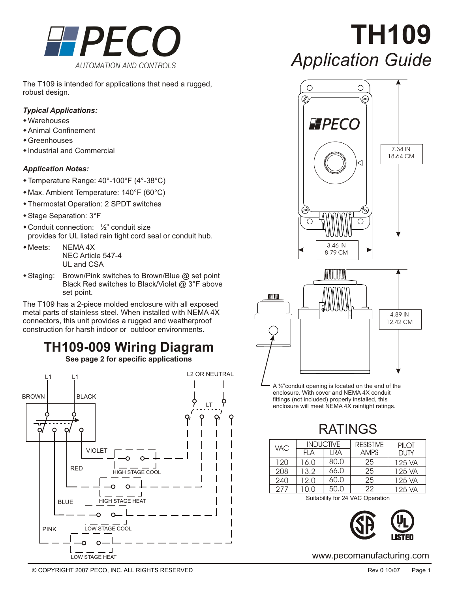

The T109 is intended for applications that need a rugged, robust design.

#### *Typical Applications:*

- Warehouses
- **\*** Animal Confinement
- $\overline{\bullet}$  Greenhouses
- $\triangle$  Industrial and Commercial

#### *Application Notes:*

- ◆ Temperature Range: 40°-100°F (4°-38°C)
- \* Max. Ambient Temperature: 140°F (60°C)
- **\* Thermostat Operation: 2 SPDT switches**
- Stage Separation: 3°F
- $\triangle$  Conduit connection:  $\frac{1}{2}$  conduit size provides for UL listed rain tight cord seal or conduit hub.
- $\bullet$  Meets: NEMA 4X NEC Article 547-4 UL and CSA
- $\triangle$  Staging: Brown/Pink switches to Brown/Blue  $@$  set point Black Red switches to Black/Violet @ 3°F above set point.

The T109 has a 2-piece molded enclosure with all exposed metal parts of stainless steel. When installed with NEMA 4X connectors, this unit provides a rugged and weatherproof construction for harsh indoor or outdoor environments.

# **TH109-009 Wiring Diagram**

**See page 2 for specific applications**



**TH109** *Application Guide*





A 1/2" conduit opening is located on the end of the enclosure. With cover and NEMA 4X conduit fittings (not included) properly installed, this enclosure will meet NEMA 4X raintight ratings.

# RATINGS

| <b>VAC</b> | <b>INDUCTIVE</b> |      | <b>RESISTIVE</b> | PII OI      |
|------------|------------------|------|------------------|-------------|
|            | FI A             | I RA | <b>AMPS</b>      | <b>DUTY</b> |
| 120        | 16.0             | 80.0 | 25               | 125 VA      |
| 208        | 13.2             | 66.0 | 25               | 125 VA      |
| 240        | 12.0             | 60.0 | 25               | 125 VA      |
| 277        | 10.0             | 50.0 | 22               | 125 VA      |

Suitability for 24 VAC Operation



www.pecomanufacturing.com